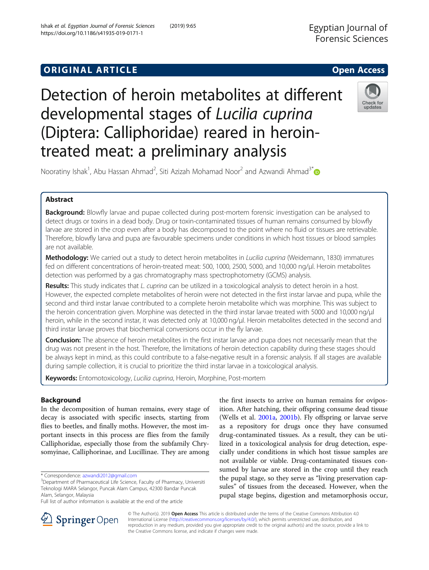## **ORIGINAL ARTICLE CONSERVANCE AND ACCESS**

# Detection of heroin metabolites at different developmental stages of Lucilia cuprina (Diptera: Calliphoridae) reared in herointreated meat: a preliminary analysis



Nooratiny Ishak<sup>1</sup>, Abu Hassan Ahmad<sup>2</sup>, Siti Azizah Mohamad Noor<sup>2</sup> and Azwandi Ahmad<sup>3\*</sup>

## Abstract

Background: Blowfly larvae and pupae collected during post-mortem forensic investigation can be analysed to detect drugs or toxins in a dead body. Drug or toxin-contaminated tissues of human remains consumed by blowfly larvae are stored in the crop even after a body has decomposed to the point where no fluid or tissues are retrievable. Therefore, blowfly larva and pupa are favourable specimens under conditions in which host tissues or blood samples are not available.

Methodology: We carried out a study to detect heroin metabolites in Lucilia cuprina (Weidemann, 1830) immatures fed on different concentrations of heroin-treated meat: 500, 1000, 2500, 5000, and 10,000 ng/μl. Heroin metabolites detection was performed by a gas chromatography mass spectrophotometry (GCMS) analysis.

Results: This study indicates that L. cuprina can be utilized in a toxicological analysis to detect heroin in a host. However, the expected complete metabolites of heroin were not detected in the first instar larvae and pupa, while the second and third instar larvae contributed to a complete heroin metabolite which was morphine. This was subject to the heroin concentration given. Morphine was detected in the third instar larvae treated with 5000 and 10,000 ng/μl heroin, while in the second instar, it was detected only at 10,000 ng/μl. Heroin metabolites detected in the second and third instar larvae proves that biochemical conversions occur in the fly larvae.

**Conclusion:** The absence of heroin metabolites in the first instar larvae and pupa does not necessarily mean that the drug was not present in the host. Therefore, the limitations of heroin detection capability during these stages should be always kept in mind, as this could contribute to a false-negative result in a forensic analysis. If all stages are available during sample collection, it is crucial to prioritize the third instar larvae in a toxicological analysis.

Keywords: Entomotoxicology, Lucilia cuprina, Heroin, Morphine, Post-mortem

## Background

In the decomposition of human remains, every stage of decay is associated with specific insects, starting from flies to beetles, and finally moths. However, the most important insects in this process are flies from the family Calliphoridae, especially those from the subfamily Chrysomyinae, Calliphorinae, and Lucillinae. They are among

the first insects to arrive on human remains for oviposition. After hatching, their offspring consume dead tissue (Wells et al. [2001a,](#page-8-0) [2001b](#page-8-0)). Fly offspring or larvae serve as a repository for drugs once they have consumed drug-contaminated tissues. As a result, they can be utilized in a toxicological analysis for drug detection, especially under conditions in which host tissue samples are not available or viable. Drug-contaminated tissues consumed by larvae are stored in the crop until they reach the pupal stage, so they serve as "living preservation capsules" of tissues from the deceased. However, when the pupal stage begins, digestion and metamorphosis occur,



© The Author(s). 2019 Open Access This article is distributed under the terms of the Creative Commons Attribution 4.0 International License ([http://creativecommons.org/licenses/by/4.0/\)](http://creativecommons.org/licenses/by/4.0/), which permits unrestricted use, distribution, and reproduction in any medium, provided you give appropriate credit to the original author(s) and the source, provide a link to the Creative Commons license, and indicate if changes were made.

<sup>\*</sup> Correspondence: [azwandi2012@gmail.com](mailto:azwandi2012@gmail.com) <sup>3</sup>

<sup>&</sup>lt;sup>3</sup>Department of Pharmaceutical Life Science, Faculty of Pharmacy, Universiti Teknologi MARA Selangor, Puncak Alam Campus, 42300 Bandar Puncak Alam, Selangor, Malaysia

Full list of author information is available at the end of the article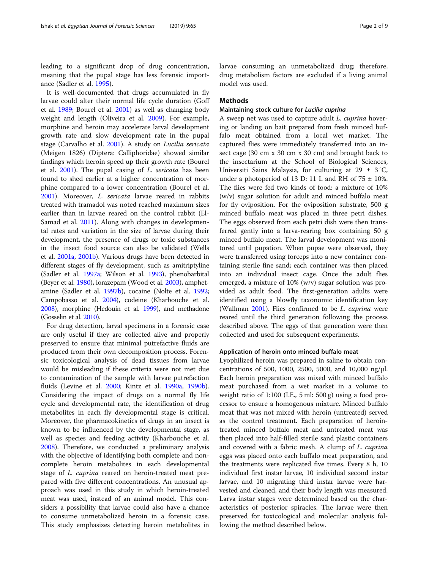leading to a significant drop of drug concentration, meaning that the pupal stage has less forensic importance (Sadler et al. [1995\)](#page-8-0).

It is well-documented that drugs accumulated in fly larvae could alter their normal life cycle duration (Goff et al. [1989](#page-8-0); Bourel et al. [2001\)](#page-7-0) as well as changing body weight and length (Oliveira et al. [2009](#page-8-0)). For example, morphine and heroin may accelerate larval development growth rate and slow development rate in the pupal stage (Carvalho et al. [2001\)](#page-7-0). A study on Lucilia sericata (Meigen 1826) (Diptera: Calliphoridae) showed similar findings which heroin speed up their growth rate (Bourel et al. [2001\)](#page-7-0). The pupal casing of L. sericata has been found to shed earlier at a higher concentration of morphine compared to a lower concentration (Bourel et al. [2001](#page-7-0)). Moreover, L. sericata larvae reared in rabbits treated with tramadol was noted reached maximum sizes earlier than in larvae reared on the control rabbit (El-Samad et al. [2011](#page-8-0)). Along with changes in developmental rates and variation in the size of larvae during their development, the presence of drugs or toxic substances in the insect food source can also be validated (Wells et al. [2001a](#page-8-0), [2001b](#page-8-0)). Various drugs have been detected in different stages of fly development, such as amitriptyline (Sadler et al. [1997a](#page-8-0); Wilson et al. [1993](#page-8-0)), phenobarbital (Beyer et al. [1980\)](#page-7-0), lorazepam (Wood et al. [2003\)](#page-8-0), amphetamine (Sadler et al. [1997b\)](#page-8-0), cocaine (Nolte et al. [1992](#page-8-0); Campobasso et al. [2004\)](#page-7-0), codeine (Kharbouche et al. [2008\)](#page-8-0), morphine (Hedouin et al. [1999](#page-8-0)), and methadone (Gosselin et al. [2010](#page-8-0)).

For drug detection, larval specimens in a forensic case are only useful if they are collected alive and properly preserved to ensure that minimal putrefactive fluids are produced from their own decomposition process. Forensic toxicological analysis of dead tissues from larvae would be misleading if these criteria were not met due to contamination of the sample with larvae putrefaction fluids (Levine et al. [2000;](#page-8-0) Kintz et al. [1990a,](#page-8-0) [1990b](#page-8-0)). Considering the impact of drugs on a normal fly life cycle and developmental rate, the identification of drug metabolites in each fly developmental stage is critical. Moreover, the pharmacokinetics of drugs in an insect is known to be influenced by the developmental stage, as well as species and feeding activity (Kharbouche et al. [2008](#page-8-0)). Therefore, we conducted a preliminary analysis with the objective of identifying both complete and noncomplete heroin metabolites in each developmental stage of *L. cuprina* reared on heroin-treated meat prepared with five different concentrations. An unusual approach was used in this study in which heroin-treated meat was used, instead of an animal model. This considers a possibility that larvae could also have a chance to consume unmetabolized heroin in a forensic case. This study emphasizes detecting heroin metabolites in larvae consuming an unmetabolized drug; therefore, drug metabolism factors are excluded if a living animal model was used.

## **Methods**

## Maintaining stock culture for Lucilia cuprina

A sweep net was used to capture adult L. cuprina hovering or landing on bait prepared from fresh minced buffalo meat obtained from a local wet market. The captured flies were immediately transferred into an insect cage (30 cm x 30 cm x 30 cm) and brought back to the insectarium at the School of Biological Sciences, Universiti Sains Malaysia, for culturing at 29  $\pm$  3 °C, under a photoperiod of 13 D: 11 L and RH of  $75 \pm 10\%$ . The flies were fed two kinds of food: a mixture of 10% (w/v) sugar solution for adult and minced buffalo meat for fly oviposition. For the oviposition substrate, 500 g minced buffalo meat was placed in three petri dishes. The eggs observed from each petri dish were then transferred gently into a larva-rearing box containing 50 g minced buffalo meat. The larval development was monitored until pupation. When pupae were observed, they were transferred using forceps into a new container containing sterile fine sand; each container was then placed into an individual insect cage. Once the adult flies emerged, a mixture of 10% (w/v) sugar solution was provided as adult food. The first-generation adults were identified using a blowfly taxonomic identification key (Wallman [2001\)](#page-8-0). Flies confirmed to be *L. cuprina* were reared until the third generation following the process described above. The eggs of that generation were then collected and used for subsequent experiments.

## Application of heroin onto minced buffalo meat

Lyophilized heroin was prepared in saline to obtain concentrations of 500, 1000, 2500, 5000, and 10,000 ng/μl. Each heroin preparation was mixed with minced buffalo meat purchased from a wet market in a volume to weight ratio of 1:100 (I.E., 5 ml: 500 g) using a food processor to ensure a homogenous mixture. Minced buffalo meat that was not mixed with heroin (untreated) served as the control treatment. Each preparation of herointreated minced buffalo meat and untreated meat was then placed into half-filled sterile sand plastic containers and covered with a fabric mesh. A clump of *L. cuprina* eggs was placed onto each buffalo meat preparation, and the treatments were replicated five times. Every 8 h, 10 individual first instar larvae, 10 individual second instar larvae, and 10 migrating third instar larvae were harvested and cleaned, and their body length was measured. Larva instar stages were determined based on the characteristics of posterior spiracles. The larvae were then preserved for toxicological and molecular analysis following the method described below.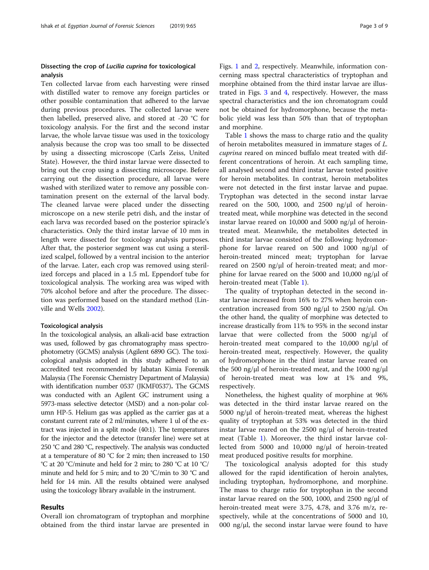## Dissecting the crop of Lucilia cuprina for toxicological analysis

Ten collected larvae from each harvesting were rinsed with distilled water to remove any foreign particles or other possible contamination that adhered to the larvae during previous procedures. The collected larvae were then labelled, preserved alive, and stored at -20 °C for toxicology analysis. For the first and the second instar larvae, the whole larvae tissue was used in the toxicology analysis because the crop was too small to be dissected by using a dissecting microscope (Carls Zeiss, United State). However, the third instar larvae were dissected to bring out the crop using a dissecting microscope. Before carrying out the dissection procedure, all larvae were washed with sterilized water to remove any possible contamination present on the external of the larval body. The cleaned larvae were placed under the dissecting microscope on a new sterile petri dish, and the instar of each larva was recorded based on the posterior spiracle's characteristics. Only the third instar larvae of 10 mm in length were dissected for toxicology analysis purposes. After that, the posterior segment was cut using a sterilized scalpel, followed by a ventral incision to the anterior of the larvae. Later, each crop was removed using sterilized forceps and placed in a 1.5 mL Eppendorf tube for toxicological analysis. The working area was wiped with 70% alcohol before and after the procedure. The dissection was performed based on the standard method (Linville and Wells [2002\)](#page-8-0).

## Toxicological analysis

In the toxicological analysis, an alkali-acid base extraction was used, followed by gas chromatography mass spectrophotometry (GCMS) analysis (Agilent 6890 GC). The toxicological analysis adopted in this study adhered to an accredited test recommended by Jabatan Kimia Forensik Malaysia (The Forensic Chemistry Department of Malaysia) with identification number 0537 (JKMF0537). The GCMS was conducted with an Agilent GC instrument using a 5973-mass selective detector (MSD) and a non-polar column HP-5. Helium gas was applied as the carrier gas at a constant current rate of 2 ml/minutes, where 1 ul of the extract was injected in a split mode (40:1). The temperatures for the injector and the detector (transfer line) were set at 250 °C and 280 °C, respectively. The analysis was conducted at a temperature of 80 °C for 2 min; then increased to 150 °C at 20 °C/minute and held for 2 min; to 280 °C at 10 °C/ minute and held for 5 min; and to 20 °C/min to 30 °C and held for 14 min. All the results obtained were analysed using the toxicology library available in the instrument.

## Results

Overall ion chromatogram of tryptophan and morphine obtained from the third instar larvae are presented in

Figs. [1](#page-3-0) and [2,](#page-3-0) respectively. Meanwhile, information concerning mass spectral characteristics of tryptophan and morphine obtained from the third instar larvae are illustrated in Figs. [3](#page-4-0) and [4](#page-4-0), respectively. However, the mass spectral characteristics and the ion chromatogram could not be obtained for hydromorphone, because the metabolic yield was less than 50% than that of tryptophan and morphine.

Table [1](#page-5-0) shows the mass to charge ratio and the quality of heroin metabolites measured in immature stages of L. cuprina reared on minced buffalo meat treated with different concentrations of heroin. At each sampling time, all analysed second and third instar larvae tested positive for heroin metabolites. In contrast, heroin metabolites were not detected in the first instar larvae and pupae. Tryptophan was detected in the second instar larvae reared on the 500, 1000, and 2500 ng/ $\mu$ l of herointreated meat, while morphine was detected in the second instar larvae reared on 10,000 and 5000 ng/μl of herointreated meat. Meanwhile, the metabolites detected in third instar larvae consisted of the following: hydromorphone for larvae reared on 500 and 1000 ng/μl of heroin-treated minced meat; tryptophan for larvae reared on 2500 ng/μl of heroin-treated meat; and morphine for larvae reared on the 5000 and 10,000 ng/μl of heroin-treated meat (Table [1](#page-5-0)).

The quality of tryptophan detected in the second instar larvae increased from 16% to 27% when heroin concentration increased from 500 ng/μl to 2500 ng/μl. On the other hand, the quality of morphine was detected to increase drastically from 11% to 95% in the second instar larvae that were collected from the 5000 ng/μl of heroin-treated meat compared to the 10,000 ng/μl of heroin-treated meat, respectively. However, the quality of hydromorphone in the third instar larvae reared on the 500 ng/μl of heroin-treated meat, and the 1000 ng/μl of heroin-treated meat was low at 1% and 9%, respectively.

Nonetheless, the highest quality of morphine at 96% was detected in the third instar larvae reared on the 5000 ng/μl of heroin-treated meat, whereas the highest quality of tryptophan at 53% was detected in the third instar larvae reared on the 2500 ng/μl of heroin-treated meat (Table [1\)](#page-5-0). Moreover, the third instar larvae collected from 5000 and 10,000 ng/μl of heroin-treated meat produced positive results for morphine.

The toxicological analysis adopted for this study allowed for the rapid identification of heroin analytes, including tryptophan, hydromorphone, and morphine. The mass to charge ratio for tryptophan in the second instar larvae reared on the 500, 1000, and 2500 ng/μl of heroin-treated meat were 3.75, 4.78, and 3.76 m/z, respectively, while at the concentrations of 5000 and 10, 000 ng/ $\mu$ l, the second instar larvae were found to have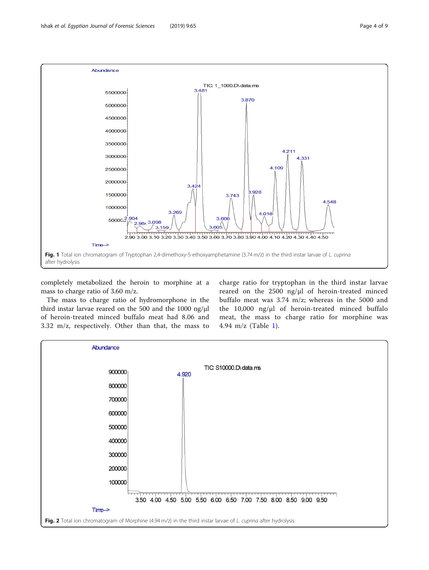<span id="page-3-0"></span>

completely metabolized the heroin to morphine at a mass to charge ratio of 3.60 m/z.

The mass to charge ratio of hydromorphone in the third instar larvae reared on the 500 and the 1000 ng/μl of heroin-treated minced buffalo meat had 8.06 and 3.32 m/z, respectively. Other than that, the mass to

charge ratio for tryptophan in the third instar larvae reared on the 2500 ng/μl of heroin-treated minced buffalo meat was 3.74 m/z; whereas in the 5000 and the 10,000 ng/μl of heroin-treated minced buffalo meat, the mass to charge ratio for morphine was 4.94 m/z (Table [1\)](#page-5-0).

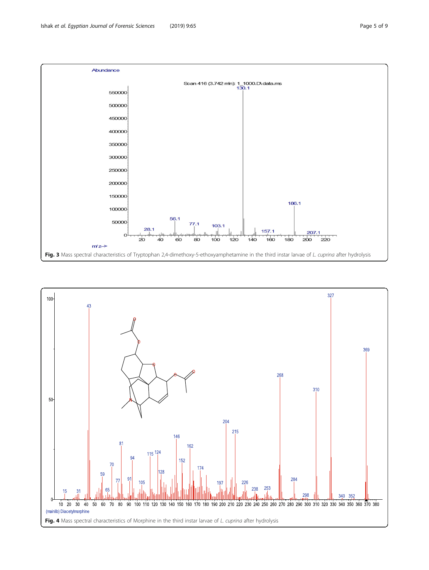<span id="page-4-0"></span>

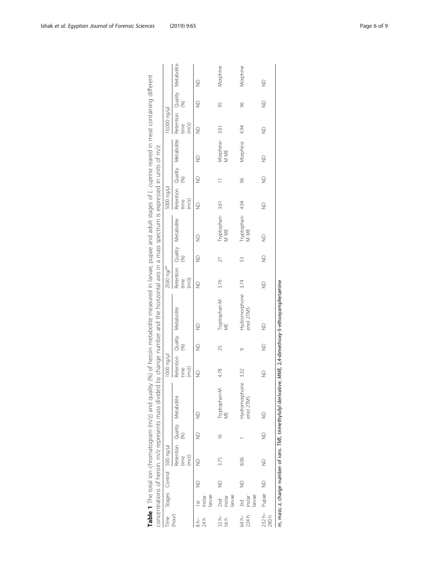<span id="page-5-0"></span>

|                  |                                 |             |                          |               | Table 1 The total ion chromatogram (m/z) and quality (%) of heroin metabolite measured in larvae, pupae and adult stages of L cuprina reared in meat containing different |                                               |             |                                 |                                               |             |                          |               |               |                              |                                               |               |             |
|------------------|---------------------------------|-------------|--------------------------|---------------|---------------------------------------------------------------------------------------------------------------------------------------------------------------------------|-----------------------------------------------|-------------|---------------------------------|-----------------------------------------------|-------------|--------------------------|---------------|---------------|------------------------------|-----------------------------------------------|---------------|-------------|
|                  |                                 |             |                          |               | concentrations of heroin. m/z represents mass divided by change number and the horizontal axis in a mass spectrum is expressed in units of m/z                            |                                               |             |                                 |                                               |             |                          |               |               |                              |                                               |               |             |
| Time             |                                 |             | Stages Control 500 ng/ul |               |                                                                                                                                                                           | 1000 ng/µ                                     |             |                                 | 2500 ng/°°                                    |             |                          | h/pu 0005     |               |                              | 10,000 ng/µl                                  |               |             |
| (hour)           |                                 |             | time<br>(m/z)            | 3             | Retention Quality Metabolite                                                                                                                                              | Retention Quality Metabolite<br>time<br>(m/z) | (96)        |                                 | Retention Quality Metabolite<br>time<br>(m/z) | (96)        |                          | time<br>(m/z) | (%)           | Retention Quality Metabolite | Retention Quality Metabolite<br>time<br>(m/z) | (96)          |             |
| 24 h             | larvae<br>instar                | €           | $\frac{1}{2}$            | $\supseteq$   | ₿                                                                                                                                                                         | $\supseteq$                                   | $\supseteq$ | $\supseteq$                     | $\supseteq$                                   | $\supseteq$ | $\trianglerighteq$       | $\supseteq$   | $\supseteq$   | $\supseteq$                  | $\supseteq$                                   | $\supseteq$   | $\supseteq$ |
| $32 h -$<br>56 h | 2nd<br>larvae<br>instar         | $\supseteq$ | 3.75                     | $\frac{6}{1}$ | Tryptophan-M<br>WE                                                                                                                                                        | 4.78                                          | 25          | Tryptophan-M<br>ME              | 3.76                                          | 27          | Tryptophan-3.61<br>M ME  |               |               | Morphine-3.61<br>M ME        |                                               | 95            | Morphine    |
| 64 h-<br>224 h   | larvae<br>$rac{1}{2}$<br>instar | $\supseteq$ | 8.06                     |               | Hydromorphone<br>enol 2TMS                                                                                                                                                | 332                                           | Ō           | Hydromorphone 3.74<br>enol 2TMS |                                               | 53          | Tryptophan- 4.94<br>M ME |               | 96            | Morphine 4.94                |                                               | 96            | Morphine    |
| 280 <sub>h</sub> | 232 h- Pupae ND                 |             | $\supseteq$              | $\frac{1}{2}$ | $\supseteq$                                                                                                                                                               | $\supseteq$                                   | $\supseteq$ | $\supseteq$                     | $\supseteq$                                   | $\supseteq$ | $\supseteq$              | $\supseteq$   | $\frac{1}{2}$ | $\supseteq$                  | $\supseteq$                                   | $\frac{1}{2}$ | $\supseteq$ |
|                  |                                 |             |                          |               | m, mass; z, charge number of ions. TMS, trimethylsilyl derivative; MME, 2,4-dimethoxy-5-ethoxyamphetamine                                                                 |                                               |             |                                 |                                               |             |                          |               |               |                              |                                               |               |             |

| )<br>)<br>l                                                                                                                                                                                                                                                                                                                                                                                                            |                                                                                                                                        |
|------------------------------------------------------------------------------------------------------------------------------------------------------------------------------------------------------------------------------------------------------------------------------------------------------------------------------------------------------------------------------------------------------------------------|----------------------------------------------------------------------------------------------------------------------------------------|
| )<br>)                                                                                                                                                                                                                                                                                                                                                                                                                 | Į                                                                                                                                      |
| the Marin matches that in parameter of the specific that the banner of the state of the mate of the mate of the contraction of the mate of the mate of the mate of the mate of the mate of the mate of the mate of the mate of<br>こうりりり<br>:<br>;<br>ג<br> <br> <br> <br>.<br>הראשוני הראשוני ה<br>5<br>את בני האינו בני האינו האינו האינו לא האינו האינו האינו לא האינו האינו האינו האינו האינו האינו האינו האינו האי | , change number and the horizonic in a mass spectrum is expressed in units of m/z<br>ミ フリーン・シー<br>)<br>)<br>)<br>)<br>2<br>2<br>2<br>2 |
| ・コリンニ<br>$\frac{1}{2}$                                                                                                                                                                                                                                                                                                                                                                                                 | $\frac{1}{2}$<br>5<br>-<br>J<br>)<br>5<br>-<br>-<br>١                                                                                  |
| 5<br>הור המה ומה והו                                                                                                                                                                                                                                                                                                                                                                                                   | えくて<br>l<br>Ĵ                                                                                                                          |
| ¢<br>Ş<br>۱<br>ء                                                                                                                                                                                                                                                                                                                                                                                                       | i<br>.<br>S<br>$\frac{1}{2}$<br>j<br>j                                                                                                 |
|                                                                                                                                                                                                                                                                                                                                                                                                                        |                                                                                                                                        |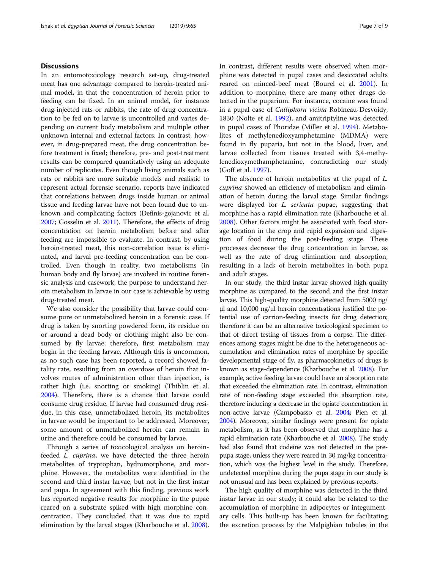## **Discussions**

In an entomotoxicology research set-up, drug-treated meat has one advantage compared to heroin-treated animal model, in that the concentration of heroin prior to feeding can be fixed. In an animal model, for instance drug-injected rats or rabbits, the rate of drug concentration to be fed on to larvae is uncontrolled and varies depending on current body metabolism and multiple other unknown internal and external factors. In contrast, however, in drug-prepared meat, the drug concentration before treatment is fixed; therefore, pre- and post-treatment results can be compared quantitatively using an adequate number of replicates. Even though living animals such as rats or rabbits are more suitable models and realistic to represent actual forensic scenario, reports have indicated that correlations between drugs inside human or animal tissue and feeding larvae have not been found due to unknown and complicating factors (Definis-gojanovic et al. [2007;](#page-8-0) Gosselin et al. [2011\)](#page-8-0). Therefore, the effects of drug concentration on heroin metabolism before and after feeding are impossible to evaluate. In contrast, by using heroin-treated meat, this non-correlation issue is eliminated, and larval pre-feeding concentration can be controlled. Even though in reality, two metabolisms (in human body and fly larvae) are involved in routine forensic analysis and casework, the purpose to understand heroin metabolism in larvae in our case is achievable by using drug-treated meat.

We also consider the possibility that larvae could consume pure or unmetabolized heroin in a forensic case. If drug is taken by snorting powdered form, its residue on or around a dead body or clothing might also be consumed by fly larvae; therefore, first metabolism may begin in the feeding larvae. Although this is uncommon, as no such case has been reported, a record showed fatality rate, resulting from an overdose of heroin that involves routes of administration other than injection, is rather high (i.e. snorting or smoking) (Thiblin et al. [2004](#page-8-0)). Therefore, there is a chance that larvae could consume drug residue. If larvae had consumed drug residue, in this case, unmetabolized heroin, its metabolites in larvae would be important to be addressed. Moreover, some amount of unmetabolized heroin can remain in urine and therefore could be consumed by larvae.

Through a series of toxicological analysis on heroinfeeded L. cuprina, we have detected the three heroin metabolites of tryptophan, hydromorphone, and morphine. However, the metabolites were identified in the second and third instar larvae, but not in the first instar and pupa. In agreement with this finding, previous work has reported negative results for morphine in the pupae reared on a substrate spiked with high morphine concentration. They concluded that it was due to rapid elimination by the larval stages (Kharbouche et al. [2008](#page-8-0)). In contrast, different results were observed when morphine was detected in pupal cases and desiccated adults reared on minced-beef meat (Bourel et al. [2001\)](#page-7-0). In addition to morphine, there are many other drugs detected in the puparium. For instance, cocaine was found in a pupal case of Calliphora vicina Robineau-Desvoidy, 1830 (Nolte et al. [1992\)](#page-8-0), and amitriptyline was detected in pupal cases of Phoridae (Miller et al. [1994\)](#page-8-0). Metabolites of methylenedioxyamphetamine (MDMA) were found in fly puparia, but not in the blood, liver, and larvae collected from tissues treated with 3,4-methylenedioxymethamphetamine, contradicting our study (Goff et al. [1997](#page-8-0)).

The absence of heroin metabolites at the pupal of L. cuprina showed an efficiency of metabolism and elimination of heroin during the larval stage. Similar findings were displayed for L. sericata pupae, suggesting that morphine has a rapid elimination rate (Kharbouche et al. [2008](#page-8-0)). Other factors might be associated with food storage location in the crop and rapid expansion and digestion of food during the post-feeding stage. These processes decrease the drug concentration in larvae, as well as the rate of drug elimination and absorption, resulting in a lack of heroin metabolites in both pupa and adult stages.

In our study, the third instar larvae showed high-quality morphine as compared to the second and the first instar larvae. This high-quality morphine detected from 5000 ng/ μl and 10,000 ng/μl heroin concentrations justified the potential use of carrion-feeding insects for drug detection; therefore it can be an alternative toxicological specimen to that of direct testing of tissues from a corpse. The differences among stages might be due to the heterogeneous accumulation and elimination rates of morphine by specific developmental stage of fly, as pharmacokinetics of drugs is known as stage-dependence (Kharbouche et al. [2008](#page-8-0)). For example, active feeding larvae could have an absorption rate that exceeded the elimination rate. In contrast, elimination rate of non-feeding stage exceeded the absorption rate, therefore inducing a decrease in the opiate concentration in non-active larvae (Campobasso et al. [2004;](#page-7-0) Pien et al. [2004\)](#page-8-0). Moreover, similar findings were present for opiate metabolism, as it has been observed that morphine has a rapid elimination rate (Kharbouche et al. [2008\)](#page-8-0). The study had also found that codeine was not detected in the prepupa stage, unless they were reared in 30 mg/kg concentration, which was the highest level in the study. Therefore, undetected morphine during the pupa stage in our study is not unusual and has been explained by previous reports.

The high quality of morphine was detected in the third instar larvae in our study; it could also be related to the accumulation of morphine in adipocytes or integumentary cells. This built-up has been known for facilitating the excretion process by the Malpighian tubules in the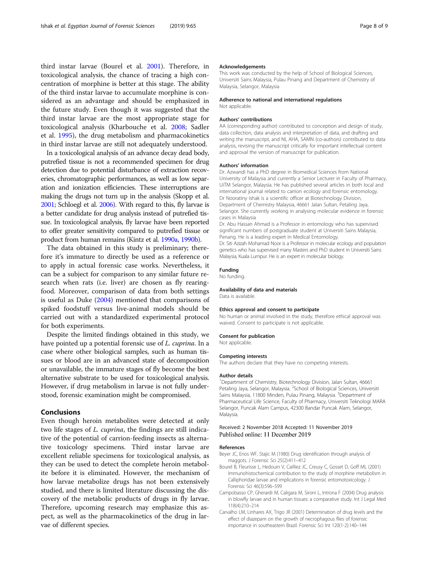<span id="page-7-0"></span>third instar larvae (Bourel et al. 2001). Therefore, in toxicological analysis, the chance of tracing a high concentration of morphine is better at this stage. The ability of the third instar larvae to accumulate morphine is considered as an advantage and should be emphasized in the future study. Even though it was suggested that the third instar larvae are the most appropriate stage for toxicological analysis (Kharbouche et al. [2008](#page-8-0); Sadler et al. [1995](#page-8-0)), the drug metabolism and pharmacokinetics in third instar larvae are still not adequately understood.

In a toxicological analysis of an advance decay dead body, putrefied tissue is not a recommended specimen for drug detection due to potential disturbance of extraction recoveries, chromatographic performances, as well as low separation and ionization efficiencies. These interruptions are making the drugs not turn up in the analysis (Skopp et al. [2001;](#page-8-0) Schloegl et al. [2006\)](#page-8-0). With regard to this, fly larvae is a better candidate for drug analysis instead of putrefied tissue. In toxicological analysis, fly larvae have been reported to offer greater sensitivity compared to putrefied tissue or product from human remains (Kintz et al. [1990a,](#page-8-0) [1990b](#page-8-0)).

The data obtained in this study is preliminary; therefore it's immature to directly be used as a reference or to apply in actual forensic case works. Nevertheless, it can be a subject for comparison to any similar future research when rats (i.e. liver) are chosen as fly rearingfood. Moreover, comparison of data from both settings is useful as Duke [\(2004\)](#page-8-0) mentioned that comparisons of spiked foodstuff versus live-animal models should be carried out with a standardized experimental protocol for both experiments.

Despite the limited findings obtained in this study, we have pointed up a potential forensic use of *L. cuprina*. In a case where other biological samples, such as human tissues or blood are in an advanced state of decomposition or unavailable, the immature stages of fly become the best alternative substrate to be used for toxicological analysis. However, if drug metabolism in larvae is not fully understood, forensic examination might be compromised.

## Conclusions

Even though heroin metabolites were detected at only two life stages of *L. cuprina*, the findings are still indicative of the potential of carrion-feeding insects as alternative toxicology specimens. Third instar larvae are excellent reliable specimens for toxicological analysis, as they can be used to detect the complete heroin metabolite before it is eliminated. However, the mechanism of how larvae metabolize drugs has not been extensively studied, and there is limited literature discussing the discovery of the metabolic products of drugs in fly larvae. Therefore, upcoming research may emphasize this aspect, as well as the pharmacokinetics of the drug in larvae of different species.

#### Acknowledgements

This work was conducted by the help of School of Biological Sciences, Universiti Sains Malaysia, Pulau Pinang and Department of Chemistry of Malaysia, Selangor, Malaysia

## Adherence to national and international regulations

Not applicable.

## Authors' contributions

AA (corresponding author) contributed to conception and design of study, data collection, data analysis and interpretation of data, and drafting and writing the manuscript, and NI, AHA, SAMN (co-authors) contributed to data analysis, revising the manuscript critically for important intellectual content and approval the version of manuscript for publication.

#### Authors' information

Dr. Azwandi has a PhD degree in Biomedical Sciences from National University of Malaysia and currently a Senior Lecturer in Faculty of Pharmacy, UiTM Selangor, Malaysia. He has published several articles in both local and international journal related to carrion ecology and forensic entomology. Dr Nooratiny Ishak is a scientific officer at Biotechnology Division, Department of Chemistry Malaysia, 46661 Jalan Sultan, Petaling Jaya, Selangor. She currently working in analysing molecular evidence in forensic cases in Malaysia

Dr. Abu Hassan Ahmad is a Professor in entomology who has supervised significant numbers of postgraduate student at Universiti Sains Malaysia. Penang. He is a leading expert in Medical Entomology.

Dr. Siti Azizah Mohamad Noor is a Professor in molecular ecology and population genetics who has supervised many Masters and PhD student in Universiti Sains Malaysia, Kuala Lumpur. He is an expert in molecular biology.

## Funding

No funding.

#### Availability of data and materials

Data is available.

## Ethics approval and consent to participate

No human or animal involved in the study, therefore ethical approval was waived. Consent to participate is not applicable.

#### Consent for publication

Not applicable.

## Competing interests

The authors declare that they have no competing interests.

## Author details

<sup>1</sup>Department of Chemistry, Biotechnology Division, Jalan Sultan, 46661 Petaling Jaya, Selangor, Malaysia. <sup>2</sup>School of Biological Sciences, Universiti Sains Malaysia, 11800 Minden, Pulau Pinang, Malaysia. <sup>3</sup>Department of Pharmaceutical Life Science, Faculty of Pharmacy, Universiti Teknologi MARA Selangor, Puncak Alam Campus, 42300 Bandar Puncak Alam, Selangor, Malaysia.

## Received: 2 November 2018 Accepted: 11 November 2019 Published online: 11 December 2019

## References

- Beyer JC, Enos WF, Stajic M (1980) Drug identification through analysis of maggots. J Forensic Sci 25(2):411–412
- Bourel B, Fleurisse L, Hedouin V, Cailliez JC, Creusy C, Gosset D, Goff ML (2001) Immunohistochemical contribution to the study of morphine metabolism in Calliphoridae larvae and implications in forensic entomotoxicology. J Forensic Sci 46(3):596–599
- Campobasso CP, Gherardi M, Caligara M, Sironi L, Introna F (2004) Drug analysis in blowfly larvae and in human tissues: a comparative study. Int J Legal Med 118(4):210–214
- Carvalho LM, Linhares AX, Trigo JR (2001) Determination of drug levels and the effect of diazepam on the growth of necrophagous flies of forensic importance in southeastern Brazil. Forensic Sci Int 120(1-2):140–144